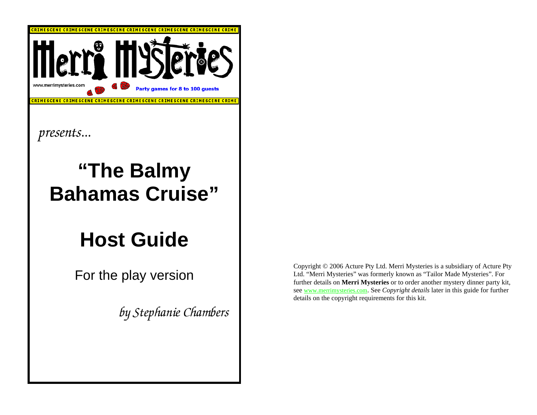

*presents...* 

# **"The Balmy Bahamas Cruise"**

# **Host Guide**

For the play version

*by Stephanie Chambers* 

Copyright © 2006 Acture Pty Ltd. Merri Mysteries is a subsidiary of Acture Pty Ltd. "Merri Mysteries" was formerly known as "Tailor Made Mysteries". For further details on **Merri Mysteries** or to order another mystery dinner party kit, see www.merrimysteries.com. See *Copyright details* later in this guide for further details on the copyright requirements for this kit.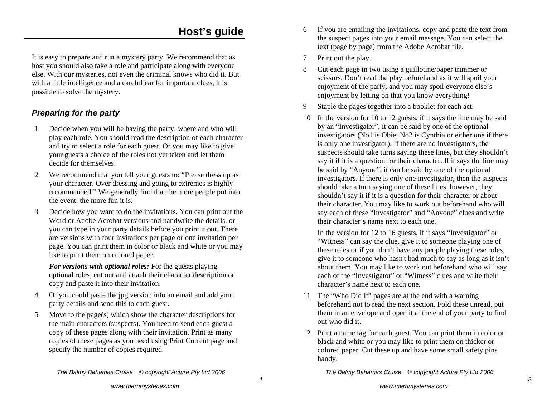## **Host's guide**

It is easy to prepare and run a mystery party. We recommend that as host you should also take a role and participate along with everyone else. With our mysteries, not even the criminal knows who did it. But with a little intelligence and a careful ear for important clues, it is possible to solve the mystery.

#### *Preparing for the party*

- 1 Decide when you will be having the party, where and who will play each role. You should read the description of each character and try to select a role for each guest. Or you may like to give your guests a choice of the roles not yet taken and let them decide for themselves.
- 2 We recommend that you tell your guests to: "Please dress up as your character. Over dressing and going to extremes is highly recommended." We generally find that the more people put into the event, the more fun it is.
- 3 Decide how you want to do the invitations. You can print out the Word or Adobe Acrobat versions and handwrite the details, or you can type in your party details before you print it out. There are versions with four invitations per page or one invitation per page. You can print them in color or black and white or you may like to print them on colored paper.

*For versions with optional roles:* For the guests playing optional roles, cut out and attach their character description or copy and paste it into their invitation.

- 4 Or you could paste the jpg version into an email and add your party details and send this to each guest.
- 5 Move to the page(s) which show the character descriptions for the main characters (suspects). You need to send each guest a copy of these pages along with their invitation. Print as many copies of these pages as you need using Print Current page and specify the number of copies required.

*The Balmy Bahamas Cruise © copyright Acture Pty Ltd 2006*

- 6 If you are emailing the invitations, copy and paste the text from the suspect pages into your email message. You can select the text (page by page) from the Adobe Acrobat file.
- 7 Print out the play.
- 8 Cut each page in two using a guillotine/paper trimmer or scissors. Don't read the play beforehand as it will spoil your enjoyment of the party, and you may spoil everyone else's enjoyment by letting on that you know everything!
- 9 Staple the pages together into a booklet for each act.
- 10 In the version for 10 to 12 guests, if it says the line may be said by an "Investigator", it can be said by one of the optional investigators (No1 is Obie, No2 is Cynthia or either one if there is only one investigator). If there are no investigators, the suspects should take turns saying these lines, but they shouldn't say it if it is a question for their character. If it says the line may be said by "Anyone", it can be said by one of the optional investigators. If there is only one investigator, then the suspects should take a turn saying one of these lines, however, they shouldn't say it if it is a question for their character or about their character. You may like to work out beforehand who will say each of these "Investigator" and "Anyone" clues and write their character's name next to each one.

 In the version for 12 to 16 guests, if it says "Investigator" or "Witness" can say the clue, give it to someone playing one of these roles or if you don't have any people playing these roles, give it to someone who hasn't had much to say as long as it isn't about them. You may like to work out beforehand who will say each of the "Investigator" or "Witness" clues and write their character's name next to each one.

- 11 The "Who Did It" pages are at the end with a warning beforehand not to read the next section. Fold these unread, put them in an envelope and open it at the end of your party to find out who did it.
- 12 Print a name tag for each guest. You can print them in color or black and white or you may like to print them on thicker or colored paper. Cut these up and have some small safety pins handy.

*The Balmy Bahamas Cruise © copyright Acture Pty Ltd 2006*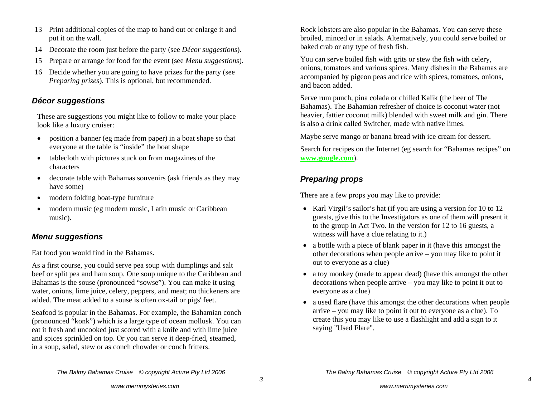- 13 Print additional copies of the map to hand out or enlarge it and put it on the wall.
- 14 Decorate the room just before the party (see *Décor suggestions*).
- 15 Prepare or arrange for food for the event (see *Menu suggestions*).
- 16 Decide whether you are going to have prizes for the party (see *Preparing prizes*). This is optional, but recommended.

#### *Décor suggestions*

These are suggestions you might like to follow to make your place look like a luxury cruiser:

- $\bullet$  position a banner (eg made from paper) in a boat shape so that everyone at the table is "inside" the boat shape
- tablecloth with pictures stuck on from magazines of the characters
- decorate table with Bahamas souvenirs (ask friends as they may have some)
- $\bullet$ modern folding boat-type furniture
- $\bullet$  modern music (eg modern music, Latin music or Caribbean music).

#### *Menu suggestions*

Eat food you would find in the Bahamas.

As a first course, you could serve pea soup with dumplings and salt beef or split pea and ham soup. One soup unique to the Caribbean and Bahamas is the souse (pronounced "sowse"). You can make it using water, onions, lime juice, celery, peppers, and meat; no thickeners are added. The meat added to a souse is often ox-tail or pigs' feet.

Seafood is popular in the Bahamas. For example, the Bahamian conch (pronounced "konk") which is a large type of ocean mollusk. You can eat it fresh and uncooked just scored with a knife and with lime juice and spices sprinkled on top. Or you can serve it deep-fried, steamed, in a soup, salad, stew or as conch chowder or conch fritters.

Rock lobsters are also popular in the Bahamas. You can serve these broiled, minced or in salads. Alternatively, you could serve boiled or baked crab or any type of fresh fish.

You can serve boiled fish with grits or stew the fish with celery, onions, tomatoes and various spices. Many dishes in the Bahamas are accompanied by pigeon peas and rice with spices, tomatoes, onions, and bacon added.

Serve rum punch, pina colada or chilled Kalik (the beer of The Bahamas). The Bahamian refresher of choice is coconut water (not heavier, fattier coconut milk) blended with sweet milk and gin. There is also a drink called Switcher, made with native limes.

Maybe serve mango or banana bread with ice cream for dessert.

Search for recipes on the Internet (eg search for "Bahamas recipes" on **www.google.com**).

#### *Preparing props*

There are a few props you may like to provide:

- Karl Virgil's sailor's hat (if you are using a version for 10 to 12 guests, give this to the Investigators as one of them will present it to the group in Act Two. In the version for 12 to 16 guests, a witness will have a clue relating to it.)
- a bottle with a piece of blank paper in it (have this amongst the other decorations when people arrive – you may like to point it out to everyone as a clue)
- a toy monkey (made to appear dead) (have this amongst the other decorations when people arrive – you may like to point it out to everyone as a clue)
- a used flare (have this amongst the other decorations when people arrive – you may like to point it out to everyone as a clue). To create this you may like to use a flashlight and add a sign to it saying "Used Flare".

*The Balmy Bahamas Cruise © copyright Acture Pty Ltd 2006*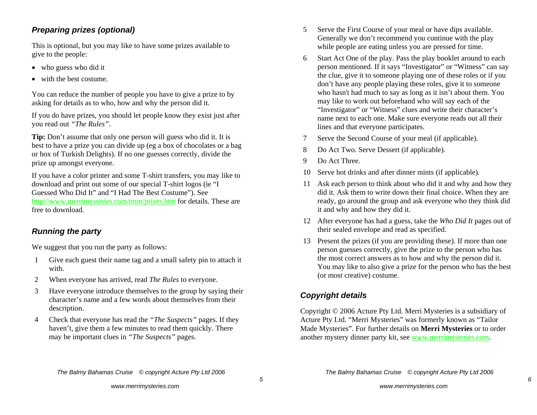#### *Preparing prizes (optional)*

This is optional, but you may like to have some prizes available to give to the people:

- who guess who did it
- with the best costume.

You can reduce the number of people you have to give a prize to by asking for details as to who, how and why the person did it.

If you do have prizes, you should let people know they exist just after you read out *"The Rules"*.

**Tip:** Don't assume that only one person will guess who did it. It is best to have a prize you can divide up (eg a box of chocolates or a bag or box of Turkish Delights). If no one guesses correctly, divide the prize up amongst everyone.

If you have a color printer and some T-shirt transfers, you may like to download and print out some of our special T-shirt logos (ie "I Guessed Who Did It" and "I Had The Best Costume"). See http://www.merrimysteries.com/tmm/prizes.htm for details. These are free to download.

### *Running the party*

We suggest that you run the party as follows:

- 1 Give each guest their name tag and a small safety pin to attach it with.
- 2 When everyone has arrived, read *The Rules* to everyone.
- 3 Have everyone introduce themselves to the group by saying their character's name and a few words about themselves from their description.
- 4 Check that everyone has read the *"The Suspects"* pages. If they haven't, give them a few minutes to read them quickly. There may be important clues in *"The Suspects"* pages.
- 5 Serve the First Course of your meal or have dips available. Generally we don't recommend you continue with the play while people are eating unless you are pressed for time.
- 6 Start Act One of the play. Pass the play booklet around to each person mentioned. If it says "Investigator" or "Witness" can say the clue, give it to someone playing one of these roles or if you don't have any people playing these roles, give it to someone who hasn't had much to say as long as it isn't about them. You may like to work out beforehand who will say each of the "Investigator" or "Witness" clues and write their character's name next to each one. Make sure everyone reads out all their lines and that everyone participates.
- 7 Serve the Second Course of your meal (if applicable).
- 8 Do Act Two. Serve Dessert (if applicable).
- 9 Do Act Three.
- 10 Serve hot drinks and after dinner mints (if applicable).
- 11 Ask each person to think about who did it and why and how they did it. Ask them to write down their final choice. When they are ready, go around the group and ask everyone who they think did it and why and how they did it.
- 12 After everyone has had a guess, take the *Who Did It* pages out of their sealed envelope and read as specified.
- 13 Present the prizes (if you are providing these). If more than one person guesses correctly, give the prize to the person who has the most correct answers as to how and why the person did it. You may like to also give a prize for the person who has the best (or most creative) costume.

### *Copyright details*

Copyright © 2006 Acture Pty Ltd. Merri Mysteries is a subsidiary of Acture Pty Ltd. "Merri Mysteries" was formerly known as "Tailor Made Mysteries". For further details on **Merri Mysteries** or to order another mystery dinner party kit, see www.merrimysteries.com.

 *5*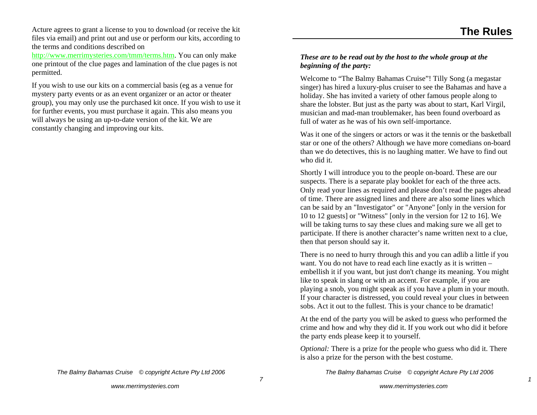Acture agrees to grant a license to you to download (or receive the kit files via email) and print out and use or perform our kits, according to the terms and conditions described on

http://www.merrimysteries.com/tmm/terms.htm. You can only make one printout of the clue pages and lamination of the clue pages is not permitted.

If you wish to use our kits on a commercial basis (eg as a venue for mystery party events or as an event organizer or an actor or theater group), you may only use the purchased kit once. If you wish to use it for further events, you must purchase it again. This also means you will always be using an up-to-date version of the kit. We are constantly changing and improving our kits.

# *beginning of the party:*

Welcome to "The Balmy Bahamas Cruise"! Tilly Song (a megastar singer) has hired a luxury-plus cruiser to see the Bahamas and have a holiday. She has invited a variety of other famous people along to share the lobster. But just as the party was about to start, Karl Virgil, musician and mad-man troublemaker, has been found overboard as full of water as he was of his own self-importance.

*These are to be read out by the host to the whole group at the* 

Was it one of the singers or actors or was it the tennis or the basketball star or one of the others? Although we have more comedians on-board than we do detectives, this is no laughing matter. We have to find out who did it.

Shortly I will introduce you to the people on-board. These are our suspects. There is a separate play booklet for each of the three acts. Only read your lines as required and please don't read the pages ahead of time. There are assigned lines and there are also some lines which can be said by an "Investigator" or "Anyone" [only in the version for 10 to 12 guests] or "Witness" [only in the version for 12 to 16]. We will be taking turns to say these clues and making sure we all get to participate. If there is another character's name written next to a clue, then that person should say it.

There is no need to hurry through this and you can adlib a little if you want. You do not have to read each line exactly as it is written – embellish it if you want, but just don't change its meaning. You might like to speak in slang or with an accent. For example, if you are playing a snob, you might speak as if you have a plum in your mouth. If your character is distressed, you could reveal your clues in between sobs. Act it out to the fullest. This is your chance to be dramatic!

At the end of the party you will be asked to guess who performed the crime and how and why they did it. If you work out who did it before the party ends please keep it to yourself.

*Optional:* There is a prize for the people who guess who did it. There is also a prize for the person with the best costume.

*The Balmy Bahamas Cruise © copyright Acture Pty Ltd 2006*

 *1*